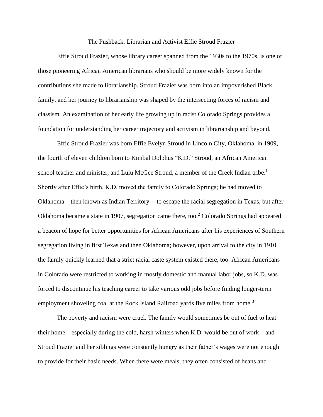The Pushback: Librarian and Activist Effie Stroud Frazier

Effie Stroud Frazier, whose library career spanned from the 1930s to the 1970s, is one of those pioneering African American librarians who should be more widely known for the contributions she made to librarianship. Stroud Frazier was born into an impoverished Black family, and her journey to librarianship was shaped by the intersecting forces of racism and classism. An examination of her early life growing up in racist Colorado Springs provides a foundation for understanding her career trajectory and activism in librarianship and beyond.

Effie Stroud Frazier was born Effie Evelyn Stroud in Lincoln City, Oklahoma, in 1909, the fourth of eleven children born to Kimbal Dolphus "K.D." Stroud, an African American school teacher and minister, and Lulu McGee Stroud, a member of the Creek Indian tribe.<sup>1</sup> Shortly after Effie's birth, K.D. moved the family to Colorado Springs; he had moved to Oklahoma – then known as Indian Territory -- to escape the racial segregation in Texas, but after Oklahoma became a state in 1907, segregation came there, too.<sup>2</sup> Colorado Springs had appeared a beacon of hope for better opportunities for African Americans after his experiences of Southern segregation living in first Texas and then Oklahoma; however, upon arrival to the city in 1910, the family quickly learned that a strict racial caste system existed there, too. African Americans in Colorado were restricted to working in mostly domestic and manual labor jobs, so K.D. was forced to discontinue his teaching career to take various odd jobs before finding longer-term employment shoveling coal at the Rock Island Railroad yards five miles from home.<sup>3</sup>

The poverty and racism were cruel. The family would sometimes be out of fuel to heat their home – especially during the cold, harsh winters when K.D. would be out of work – and Stroud Frazier and her siblings were constantly hungry as their father's wages were not enough to provide for their basic needs. When there were meals, they often consisted of beans and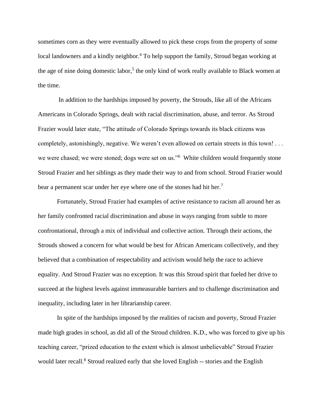sometimes corn as they were eventually allowed to pick these crops from the property of some local landowners and a kindly neighbor.<sup>4</sup> To help support the family, Stroud began working at the age of nine doing domestic labor,<sup>5</sup> the only kind of work really available to Black women at the time.

In addition to the hardships imposed by poverty, the Strouds, like all of the Africans Americans in Colorado Springs, dealt with racial discrimination, abuse, and terror. As Stroud Frazier would later state, "The attitude of Colorado Springs towards its black citizens was completely, astonishingly, negative. We weren't even allowed on certain streets in this town! . . . we were chased; we were stoned; dogs were set on us."<sup>6</sup> White children would frequently stone Stroud Frazier and her siblings as they made their way to and from school. Stroud Frazier would bear a permanent scar under her eye where one of the stones had hit her.<sup>7</sup>

Fortunately, Stroud Frazier had examples of active resistance to racism all around her as her family confronted racial discrimination and abuse in ways ranging from subtle to more confrontational, through a mix of individual and collective action. Through their actions, the Strouds showed a concern for what would be best for African Americans collectively, and they believed that a combination of respectability and activism would help the race to achieve equality. And Stroud Frazier was no exception. It was this Stroud spirit that fueled her drive to succeed at the highest levels against immeasurable barriers and to challenge discrimination and inequality, including later in her librarianship career.

In spite of the hardships imposed by the realities of racism and poverty, Stroud Frazier made high grades in school, as did all of the Stroud children. K.D., who was forced to give up his teaching career, "prized education to the extent which is almost unbelievable" Stroud Frazier would later recall.<sup>8</sup> Stroud realized early that she loved English -- stories and the English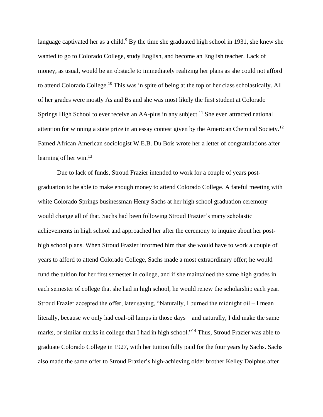language captivated her as a child.<sup>9</sup> By the time she graduated high school in 1931, she knew she wanted to go to Colorado College, study English, and become an English teacher. Lack of money, as usual, would be an obstacle to immediately realizing her plans as she could not afford to attend Colorado College.<sup>10</sup> This was in spite of being at the top of her class scholastically. All of her grades were mostly As and Bs and she was most likely the first student at Colorado Springs High School to ever receive an AA-plus in any subject.<sup>11</sup> She even attracted national attention for winning a state prize in an essay contest given by the American Chemical Society.<sup>12</sup> Famed African American sociologist W.E.B. Du Bois wrote her a letter of congratulations after learning of her win.<sup>13</sup>

Due to lack of funds, Stroud Frazier intended to work for a couple of years postgraduation to be able to make enough money to attend Colorado College. A fateful meeting with white Colorado Springs businessman Henry Sachs at her high school graduation ceremony would change all of that. Sachs had been following Stroud Frazier's many scholastic achievements in high school and approached her after the ceremony to inquire about her posthigh school plans. When Stroud Frazier informed him that she would have to work a couple of years to afford to attend Colorado College, Sachs made a most extraordinary offer; he would fund the tuition for her first semester in college, and if she maintained the same high grades in each semester of college that she had in high school, he would renew the scholarship each year. Stroud Frazier accepted the offer, later saying, "Naturally, I burned the midnight oil – I mean literally, because we only had coal-oil lamps in those days – and naturally, I did make the same marks, or similar marks in college that I had in high school."<sup>14</sup> Thus, Stroud Frazier was able to graduate Colorado College in 1927, with her tuition fully paid for the four years by Sachs. Sachs also made the same offer to Stroud Frazier's high-achieving older brother Kelley Dolphus after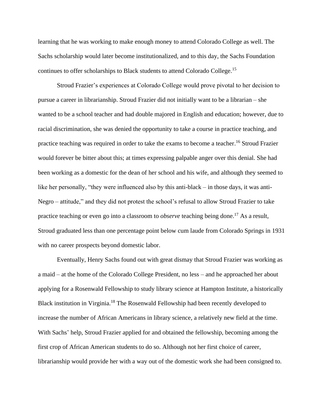learning that he was working to make enough money to attend Colorado College as well. The Sachs scholarship would later become institutionalized, and to this day, the Sachs Foundation continues to offer scholarships to Black students to attend Colorado College.<sup>15</sup>

Stroud Frazier's experiences at Colorado College would prove pivotal to her decision to pursue a career in librarianship. Stroud Frazier did not initially want to be a librarian – she wanted to be a school teacher and had double majored in English and education; however, due to racial discrimination, she was denied the opportunity to take a course in practice teaching, and practice teaching was required in order to take the exams to become a teacher.<sup>16</sup> Stroud Frazier would forever be bitter about this; at times expressing palpable anger over this denial. She had been working as a domestic for the dean of her school and his wife, and although they seemed to like her personally, "they were influenced also by this anti-black – in those days, it was anti-Negro – attitude," and they did not protest the school's refusal to allow Stroud Frazier to take practice teaching or even go into a classroom to *observe* teaching being done. <sup>17</sup> As a result, Stroud graduated less than one percentage point below cum laude from Colorado Springs in 1931 with no career prospects beyond domestic labor.

Eventually, Henry Sachs found out with great dismay that Stroud Frazier was working as a maid – at the home of the Colorado College President, no less – and he approached her about applying for a Rosenwald Fellowship to study library science at Hampton Institute, a historically Black institution in Virginia.<sup>18</sup> The Rosenwald Fellowship had been recently developed to increase the number of African Americans in library science, a relatively new field at the time. With Sachs' help, Stroud Frazier applied for and obtained the fellowship, becoming among the first crop of African American students to do so. Although not her first choice of career, librarianship would provide her with a way out of the domestic work she had been consigned to.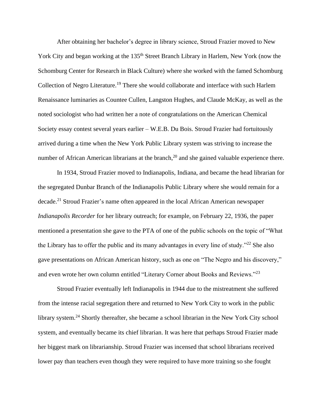After obtaining her bachelor's degree in library science, Stroud Frazier moved to New York City and began working at the 135<sup>th</sup> Street Branch Library in Harlem, New York (now the Schomburg Center for Research in Black Culture) where she worked with the famed Schomburg Collection of Negro Literature.<sup>19</sup> There she would collaborate and interface with such Harlem Renaissance luminaries as Countee Cullen, Langston Hughes, and Claude McKay, as well as the noted sociologist who had written her a note of congratulations on the American Chemical Society essay contest several years earlier – W.E.B. Du Bois. Stroud Frazier had fortuitously arrived during a time when the New York Public Library system was striving to increase the number of African American librarians at the branch,<sup>20</sup> and she gained valuable experience there.

In 1934, Stroud Frazier moved to Indianapolis, Indiana, and became the head librarian for the segregated Dunbar Branch of the Indianapolis Public Library where she would remain for a decade.<sup>21</sup> Stroud Frazier's name often appeared in the local African American newspaper *Indianapolis Recorder* for her library outreach; for example, on February 22, 1936, the paper mentioned a presentation she gave to the PTA of one of the public schools on the topic of "What the Library has to offer the public and its many advantages in every line of study."<sup>22</sup> She also gave presentations on African American history, such as one on "The Negro and his discovery," and even wrote her own column entitled "Literary Corner about Books and Reviews."<sup>23</sup>

Stroud Frazier eventually left Indianapolis in 1944 due to the mistreatment she suffered from the intense racial segregation there and returned to New York City to work in the public library system.<sup>24</sup> Shortly thereafter, she became a school librarian in the New York City school system, and eventually became its chief librarian. It was here that perhaps Stroud Frazier made her biggest mark on librarianship. Stroud Frazier was incensed that school librarians received lower pay than teachers even though they were required to have more training so she fought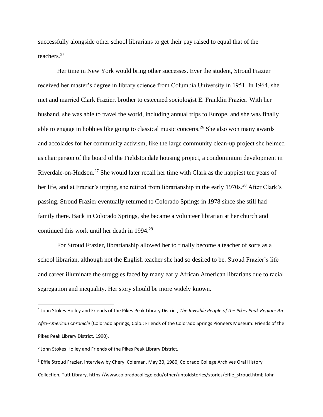successfully alongside other school librarians to get their pay raised to equal that of the teachers.<sup>25</sup>

Her time in New York would bring other successes. Ever the student, Stroud Frazier received her master's degree in library science from Columbia University in 1951. In 1964, she met and married Clark Frazier, brother to esteemed sociologist E. Franklin Frazier. With her husband, she was able to travel the world, including annual trips to Europe, and she was finally able to engage in hobbies like going to classical music concerts.<sup>26</sup> She also won many awards and accolades for her community activism, like the large community clean-up project she helmed as chairperson of the board of the Fieldstondale housing project, a condominium development in Riverdale-on-Hudson.<sup>27</sup> She would later recall her time with Clark as the happiest ten years of her life, and at Frazier's urging, she retired from librarianship in the early 1970s.<sup>28</sup> After Clark's passing, Stroud Frazier eventually returned to Colorado Springs in 1978 since she still had family there. Back in Colorado Springs, she became a volunteer librarian at her church and continued this work until her death in 1994.<sup>29</sup>

For Stroud Frazier, librarianship allowed her to finally become a teacher of sorts as a school librarian, although not the English teacher she had so desired to be. Stroud Frazier's life and career illuminate the struggles faced by many early African American librarians due to racial segregation and inequality. Her story should be more widely known.

<sup>1</sup> John Stokes Holley and Friends of the Pikes Peak Library District, *The Invisible People of the Pikes Peak Region: An Afro-American Chronicle* (Colorado Springs, Colo.: Friends of the Colorado Springs Pioneers Museum: Friends of the Pikes Peak Library District, 1990).

<sup>&</sup>lt;sup>2</sup> John Stokes Holley and Friends of the Pikes Peak Library District.

<sup>&</sup>lt;sup>3</sup> Effie Stroud Frazier, interview by Cheryl Coleman, May 30, 1980, Colorado College Archives Oral History Collection, Tutt Library, https://www.coloradocollege.edu/other/untoldstories/stories/effie\_stroud.html; John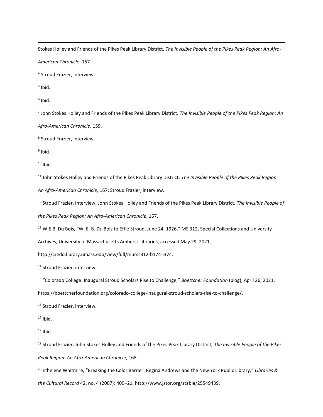Stokes Holley and Friends of the Pikes Peak Library District, *The Invisible People of the Pikes Peak Region: An Afro-*

*American Chronicle*, 157.

4 Stroud Frazier, interview.

<sup>5</sup> Ibid.

6 Ibid.

7 John Stokes Holley and Friends of the Pikes Peak Library District, *The Invisible People of the Pikes Peak Region: An* 

*Afro-American Chronicle*, 159.

8 Stroud Frazier, interview.

<sup>9</sup> Ibid.

 $10$  Ibid.

<sup>11</sup> John Stokes Holley and Friends of the Pikes Peak Library District, *The Invisible People of the Pikes Peak Region:* 

*An Afro-American Chronicle*, 167; Stroud Frazier, interview.

<sup>12</sup> Stroud Frazier, interview; John Stokes Holley and Friends of the Pikes Peak Library District, *The Invisible People of the Pikes Peak Region: An Afro-American Chronicle*, 167.

<sup>13</sup> W.E.B. Du Bois, "W. E. B. Du Bois to Effie Stroud, June 24, 1926," MS 312, Special Collections and University

Archives, University of Massachusetts Amherst Libraries, accessed May 29, 2021,

http://credo.library.umass.edu/view/full/mums312-b174-i374.

<sup>14</sup> Stroud Frazier, interview.

15 "Colorado College: Inaugural Stroud Scholars Rise to Challenge," *Boettcher Foundation* (blog), April 26, 2021,

https://boettcherfoundation.org/colorado-college-inaugural-stroud-scholars-rise-to-challenge/.

<sup>16</sup> Stroud Frazier, interview.

 $17$  Ibid.

 $18$  Ibid.

<sup>19</sup> Stroud Frazier; John Stokes Holley and Friends of the Pikes Peak Library District, *The Invisible People of the Pikes Peak Region: An Afro-American Chronicle*, 168.

<sup>20</sup> Ethelene Whitmire, "Breaking the Color Barrier: Regina Andrews and the New York Public Library," *Libraries & the Cultural Record* 42, no. 4 (2007): 409–21, http://www.jstor.org/stable/25549439.